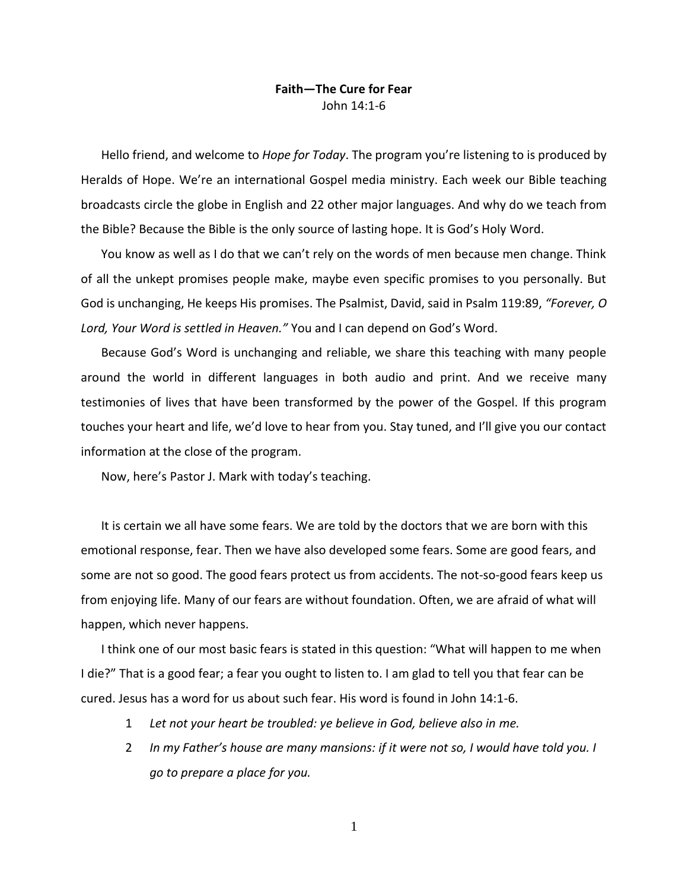## **Faith—The Cure for Fear** John 14:1-6

Hello friend, and welcome to *Hope for Today*. The program you're listening to is produced by Heralds of Hope. We're an international Gospel media ministry. Each week our Bible teaching broadcasts circle the globe in English and 22 other major languages. And why do we teach from the Bible? Because the Bible is the only source of lasting hope. It is God's Holy Word.

You know as well as I do that we can't rely on the words of men because men change. Think of all the unkept promises people make, maybe even specific promises to you personally. But God is unchanging, He keeps His promises. The Psalmist, David, said in Psalm 119:89, *"Forever, O Lord, Your Word is settled in Heaven."* You and I can depend on God's Word.

Because God's Word is unchanging and reliable, we share this teaching with many people around the world in different languages in both audio and print. And we receive many testimonies of lives that have been transformed by the power of the Gospel. If this program touches your heart and life, we'd love to hear from you. Stay tuned, and I'll give you our contact information at the close of the program.

Now, here's Pastor J. Mark with today's teaching.

It is certain we all have some fears. We are told by the doctors that we are born with this emotional response, fear. Then we have also developed some fears. Some are good fears, and some are not so good. The good fears protect us from accidents. The not-so-good fears keep us from enjoying life. Many of our fears are without foundation. Often, we are afraid of what will happen, which never happens.

I think one of our most basic fears is stated in this question: "What will happen to me when I die?" That is a good fear; a fear you ought to listen to. I am glad to tell you that fear can be cured. Jesus has a word for us about such fear. His word is found in John 14:1-6.

- 1 *Let not your heart be troubled: ye believe in God, believe also in me.*
- 2 *In my Father's house are many mansions: if it were not so, I would have told you. I go to prepare a place for you.*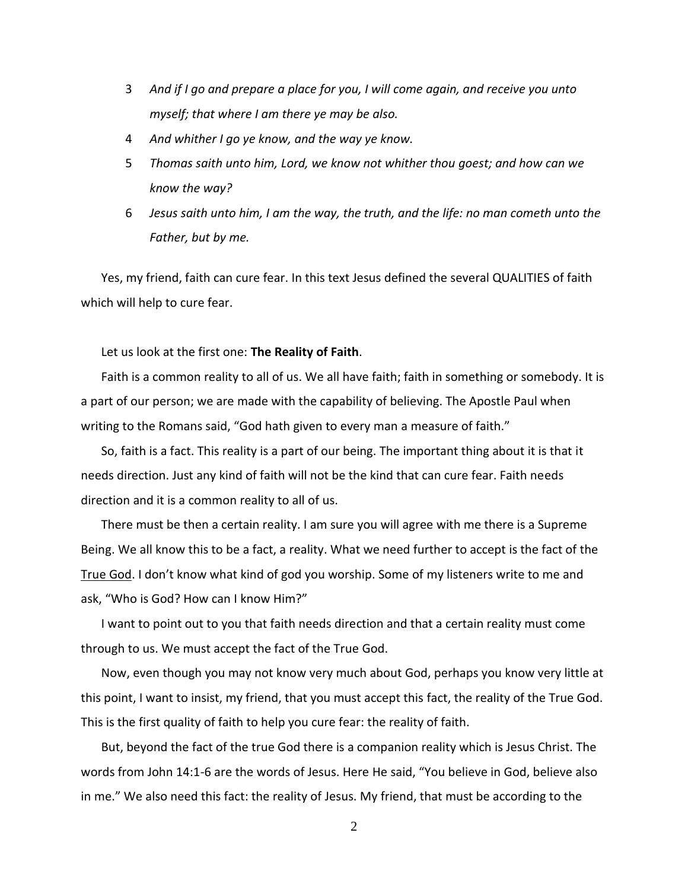- 3 *And if I go and prepare a place for you, I will come again, and receive you unto myself; that where I am there ye may be also.*
- 4 *And whither I go ye know, and the way ye know.*
- 5 *Thomas saith unto him, Lord, we know not whither thou goest; and how can we know the way?*
- 6 *Jesus saith unto him, I am the way, the truth, and the life: no man cometh unto the Father, but by me.*

Yes, my friend, faith can cure fear. In this text Jesus defined the several QUALITIES of faith which will help to cure fear.

Let us look at the first one: **The Reality of Faith**.

Faith is a common reality to all of us. We all have faith; faith in something or somebody. It is a part of our person; we are made with the capability of believing. The Apostle Paul when writing to the Romans said, "God hath given to every man a measure of faith."

So, faith is a fact. This reality is a part of our being. The important thing about it is that it needs direction. Just any kind of faith will not be the kind that can cure fear. Faith needs direction and it is a common reality to all of us.

There must be then a certain reality. I am sure you will agree with me there is a Supreme Being. We all know this to be a fact, a reality. What we need further to accept is the fact of the True God. I don't know what kind of god you worship. Some of my listeners write to me and ask, "Who is God? How can I know Him?"

I want to point out to you that faith needs direction and that a certain reality must come through to us. We must accept the fact of the True God.

Now, even though you may not know very much about God, perhaps you know very little at this point, I want to insist, my friend, that you must accept this fact, the reality of the True God. This is the first quality of faith to help you cure fear: the reality of faith.

But, beyond the fact of the true God there is a companion reality which is Jesus Christ. The words from John 14:1-6 are the words of Jesus. Here He said, "You believe in God, believe also in me." We also need this fact: the reality of Jesus. My friend, that must be according to the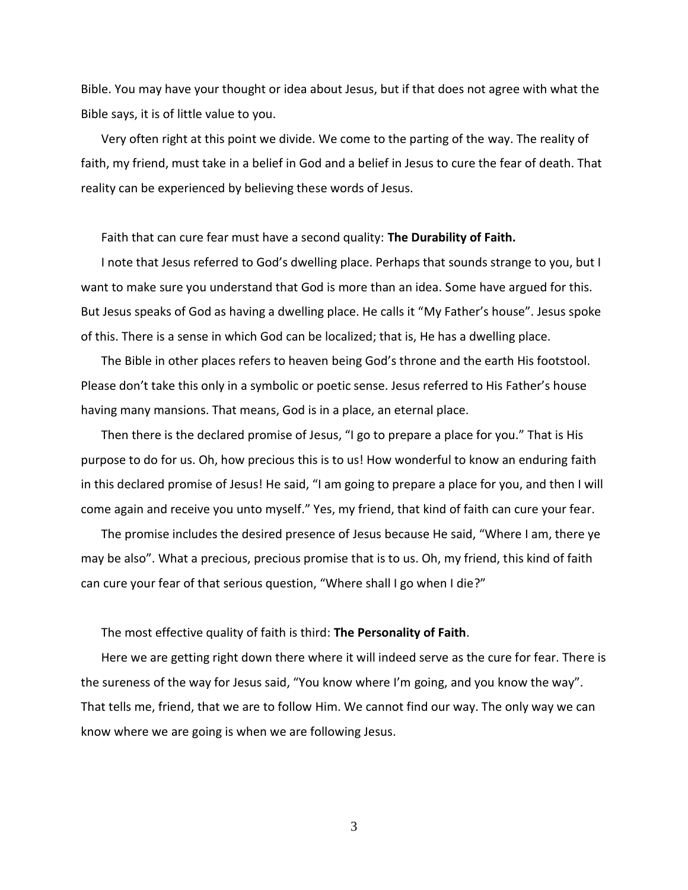Bible. You may have your thought or idea about Jesus, but if that does not agree with what the Bible says, it is of little value to you.

Very often right at this point we divide. We come to the parting of the way. The reality of faith, my friend, must take in a belief in God and a belief in Jesus to cure the fear of death. That reality can be experienced by believing these words of Jesus.

Faith that can cure fear must have a second quality: **The Durability of Faith.**

I note that Jesus referred to God's dwelling place. Perhaps that sounds strange to you, but I want to make sure you understand that God is more than an idea. Some have argued for this. But Jesus speaks of God as having a dwelling place. He calls it "My Father's house". Jesus spoke of this. There is a sense in which God can be localized; that is, He has a dwelling place.

The Bible in other places refers to heaven being God's throne and the earth His footstool. Please don't take this only in a symbolic or poetic sense. Jesus referred to His Father's house having many mansions. That means, God is in a place, an eternal place.

Then there is the declared promise of Jesus, "I go to prepare a place for you." That is His purpose to do for us. Oh, how precious this is to us! How wonderful to know an enduring faith in this declared promise of Jesus! He said, "I am going to prepare a place for you, and then I will come again and receive you unto myself." Yes, my friend, that kind of faith can cure your fear.

The promise includes the desired presence of Jesus because He said, "Where I am, there ye may be also". What a precious, precious promise that is to us. Oh, my friend, this kind of faith can cure your fear of that serious question, "Where shall I go when I die?"

The most effective quality of faith is third: **The Personality of Faith**.

Here we are getting right down there where it will indeed serve as the cure for fear. There is the sureness of the way for Jesus said, "You know where I'm going, and you know the way". That tells me, friend, that we are to follow Him. We cannot find our way. The only way we can know where we are going is when we are following Jesus.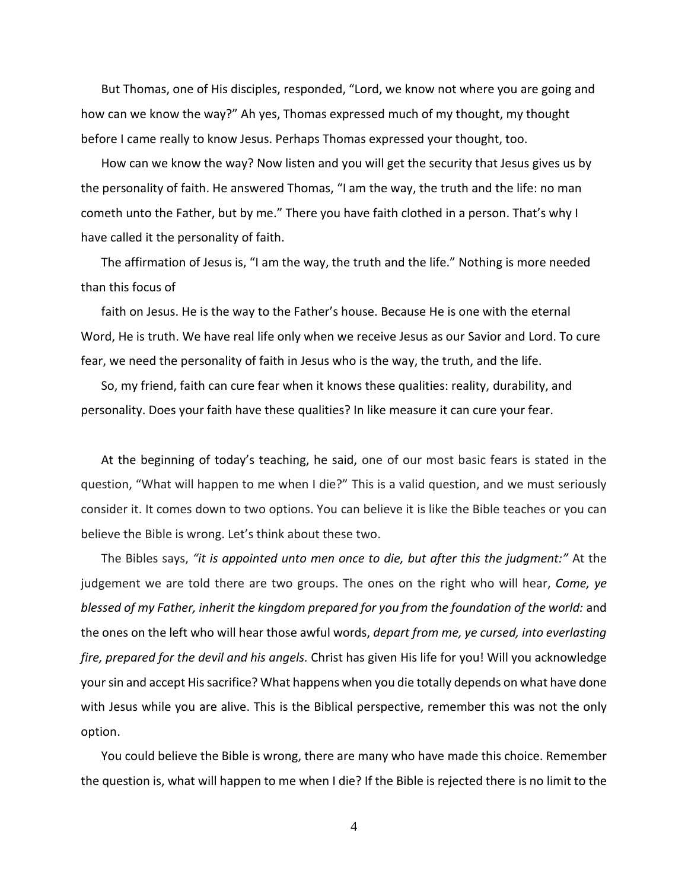But Thomas, one of His disciples, responded, "Lord, we know not where you are going and how can we know the way?" Ah yes, Thomas expressed much of my thought, my thought before I came really to know Jesus. Perhaps Thomas expressed your thought, too.

How can we know the way? Now listen and you will get the security that Jesus gives us by the personality of faith. He answered Thomas, "I am the way, the truth and the life: no man cometh unto the Father, but by me." There you have faith clothed in a person. That's why I have called it the personality of faith.

The affirmation of Jesus is, "I am the way, the truth and the life." Nothing is more needed than this focus of

faith on Jesus. He is the way to the Father's house. Because He is one with the eternal Word, He is truth. We have real life only when we receive Jesus as our Savior and Lord. To cure fear, we need the personality of faith in Jesus who is the way, the truth, and the life.

So, my friend, faith can cure fear when it knows these qualities: reality, durability, and personality. Does your faith have these qualities? In like measure it can cure your fear.

At the beginning of today's teaching, he said, one of our most basic fears is stated in the question, "What will happen to me when I die?" This is a valid question, and we must seriously consider it. It comes down to two options. You can believe it is like the Bible teaches or you can believe the Bible is wrong. Let's think about these two.

The Bibles says, *"it is appointed unto men once to die, but after this the judgment:"* At the judgement we are told there are two groups. The ones on the right who will hear, *Come, ye blessed of my Father, inherit the kingdom prepared for you from the foundation of the world:* and the ones on the left who will hear those awful words, *depart from me, ye cursed, into everlasting fire, prepared for the devil and his angels.* Christ has given His life for you! Will you acknowledge your sin and accept His sacrifice? What happens when you die totally depends on what have done with Jesus while you are alive. This is the Biblical perspective, remember this was not the only option.

You could believe the Bible is wrong, there are many who have made this choice. Remember the question is, what will happen to me when I die? If the Bible is rejected there is no limit to the